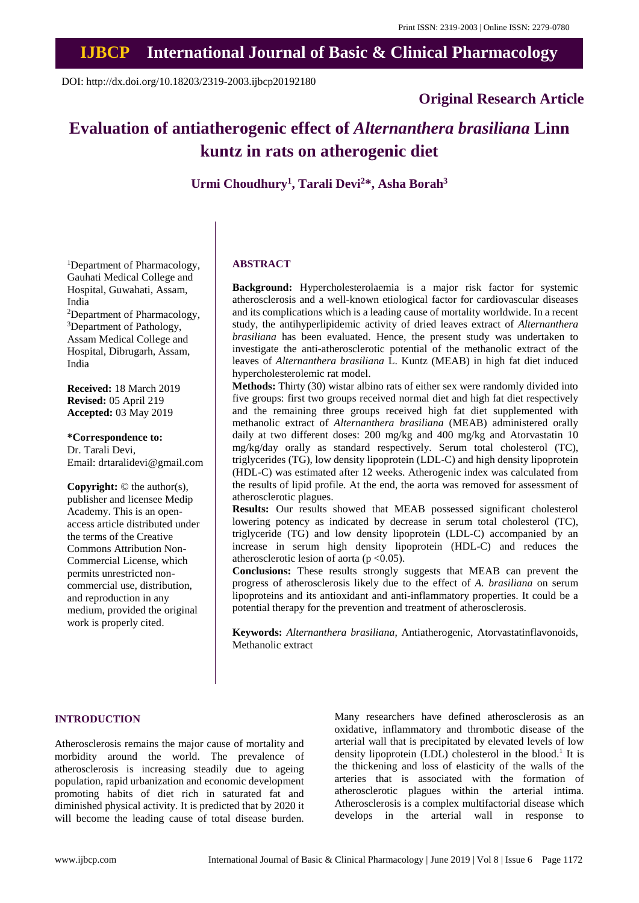## **IJBCP International Journal of Basic & Clinical Pharmacology**

DOI: http://dx.doi.org/10.18203/2319-2003.ijbcp20192180

## **Original Research Article**

# **Evaluation of antiatherogenic effect of** *Alternanthera brasiliana* **Linn kuntz in rats on atherogenic diet**

**Urmi Choudhury<sup>1</sup> , Tarali Devi<sup>2</sup>\*, Asha Borah<sup>3</sup>**

<sup>1</sup>Department of Pharmacology, Gauhati Medical College and Hospital, Guwahati, Assam, India <sup>2</sup>Department of Pharmacology, <sup>3</sup>Department of Pathology, Assam Medical College and Hospital, Dibrugarh, Assam, India

**Received:** 18 March 2019 **Revised:** 05 April 219 **Accepted:** 03 May 2019

**\*Correspondence to:** Dr. Tarali Devi, Email: drtaralidevi@gmail.com

**Copyright:** © the author(s), publisher and licensee Medip Academy. This is an openaccess article distributed under the terms of the Creative Commons Attribution Non-Commercial License, which permits unrestricted noncommercial use, distribution, and reproduction in any medium, provided the original work is properly cited.

## **ABSTRACT**

**Background:** Hypercholesterolaemia is a major risk factor for systemic atherosclerosis and a well-known etiological factor for cardiovascular diseases and its complications which is a leading cause of mortality worldwide. In a recent study, the antihyperlipidemic activity of dried leaves extract of *Alternanthera brasiliana* has been evaluated. Hence, the present study was undertaken to investigate the anti-atherosclerotic potential of the methanolic extract of the leaves of *Alternanthera brasiliana* L. Kuntz (MEAB) in high fat diet induced hypercholesterolemic rat model.

**Methods:** Thirty (30) wistar albino rats of either sex were randomly divided into five groups: first two groups received normal diet and high fat diet respectively and the remaining three groups received high fat diet supplemented with methanolic extract of *Alternanthera brasiliana* (MEAB) administered orally daily at two different doses: 200 mg/kg and 400 mg/kg and Atorvastatin 10 mg/kg/day orally as standard respectively. Serum total cholesterol (TC), triglycerides (TG), low density lipoprotein (LDL-C) and high density lipoprotein (HDL-C) was estimated after 12 weeks. Atherogenic index was calculated from the results of lipid profile. At the end, the aorta was removed for assessment of atherosclerotic plagues.

**Results:** Our results showed that MEAB possessed significant cholesterol lowering potency as indicated by decrease in serum total cholesterol (TC), triglyceride (TG) and low density lipoprotein (LDL-C) accompanied by an increase in serum high density lipoprotein (HDL-C) and reduces the atherosclerotic lesion of aorta ( $p < 0.05$ ).

**Conclusions:** These results strongly suggests that MEAB can prevent the progress of atherosclerosis likely due to the effect of *A. brasiliana* on serum lipoproteins and its antioxidant and anti-inflammatory properties. It could be a potential therapy for the prevention and treatment of atherosclerosis.

**Keywords:** *Alternanthera brasiliana*, Antiatherogenic, Atorvastatinflavonoids, Methanolic extract

#### **INTRODUCTION**

Atherosclerosis remains the major cause of mortality and morbidity around the world. The prevalence of atherosclerosis is increasing steadily due to ageing population, rapid urbanization and economic development promoting habits of diet rich in saturated fat and diminished physical activity. It is predicted that by 2020 it will become the leading cause of total disease burden. Many researchers have defined atherosclerosis as an oxidative, inflammatory and thrombotic disease of the arterial wall that is precipitated by elevated levels of low density lipoprotein (LDL) cholesterol in the blood.<sup>1</sup> It is the thickening and loss of elasticity of the walls of the arteries that is associated with the formation of atherosclerotic plagues within the arterial intima. Atherosclerosis is a complex multifactorial disease which develops in the arterial wall in response to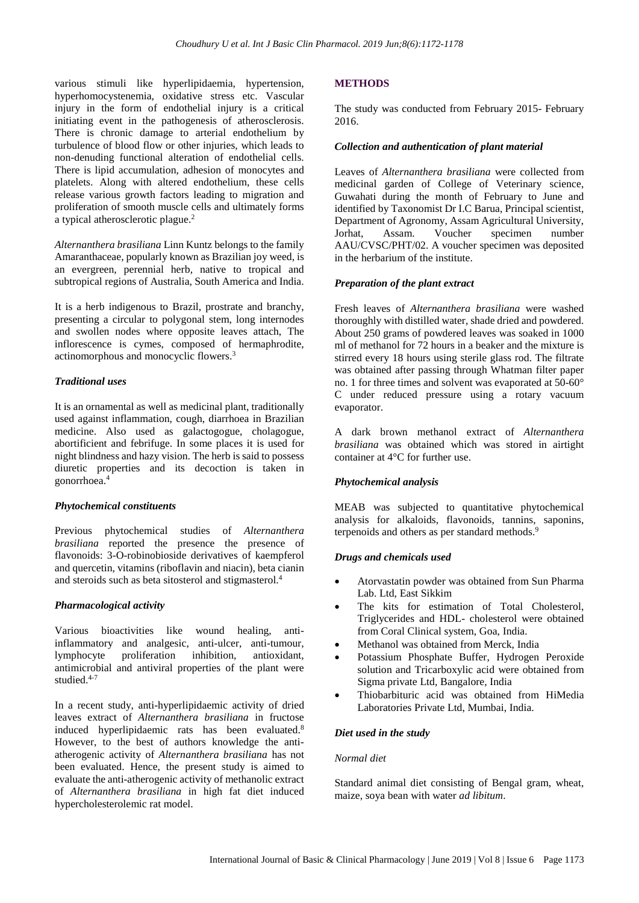various stimuli like hyperlipidaemia, hypertension, hyperhomocystenemia, oxidative stress etc. Vascular injury in the form of endothelial injury is a critical initiating event in the pathogenesis of atherosclerosis. There is chronic damage to arterial endothelium by turbulence of blood flow or other injuries, which leads to non-denuding functional alteration of endothelial cells. There is lipid accumulation, adhesion of monocytes and platelets. Along with altered endothelium, these cells release various growth factors leading to migration and proliferation of smooth muscle cells and ultimately forms a typical atherosclerotic plague. 2

*Alternanthera brasiliana* Linn Kuntz belongs to the family Amaranthaceae, popularly known as Brazilian joy weed, is an evergreen, perennial herb, native to tropical and subtropical regions of Australia, South America and India.

It is a herb indigenous to Brazil, prostrate and branchy, presenting a circular to polygonal stem, long internodes and swollen nodes where opposite leaves attach, The inflorescence is cymes, composed of hermaphrodite, actinomorphous and monocyclic flowers. 3

## *Traditional uses*

It is an ornamental as well as medicinal plant, traditionally used against inflammation, cough, diarrhoea in Brazilian medicine. Also used as galactogogue, cholagogue, abortificient and febrifuge. In some places it is used for night blindness and hazy vision. The herb is said to possess diuretic properties and its decoction is taken in gonorrhoea. 4

## *Phytochemical constituents*

Previous phytochemical studies of *Alternanthera brasiliana* reported the presence the presence of flavonoids: 3-O-robinobioside derivatives of kaempferol and quercetin, vitamins (riboflavin and niacin), beta cianin and steroids such as beta sitosterol and stigmasterol. 4

## *Pharmacological activity*

Various bioactivities like wound healing, antiinflammatory and analgesic, anti-ulcer, anti-tumour, lymphocyte proliferation inhibition, antioxidant, antimicrobial and antiviral properties of the plant were studied.<sup>4-7</sup>

In a recent study, anti-hyperlipidaemic activity of dried leaves extract of *Alternanthera brasiliana* in fructose induced hyperlipidaemic rats has been evaluated. 8 However, to the best of authors knowledge the antiatherogenic activity of *Alternanthera brasiliana* has not been evaluated. Hence, the present study is aimed to evaluate the anti-atherogenic activity of methanolic extract of *Alternanthera brasiliana* in high fat diet induced hypercholesterolemic rat model.

## **METHODS**

The study was conducted from February 2015- February 2016.

## *Collection and authentication of plant material*

Leaves of *Alternanthera brasiliana* were collected from medicinal garden of College of Veterinary science, Guwahati during the month of February to June and identified by Taxonomist Dr I.C Barua, Principal scientist, Department of Agronomy, Assam Agricultural University, Jorhat, Assam. Voucher specimen number AAU/CVSC/PHT/02. A voucher specimen was deposited in the herbarium of the institute.

## *Preparation of the plant extract*

Fresh leaves of *Alternanthera brasiliana* were washed thoroughly with distilled water, shade dried and powdered. About 250 grams of powdered leaves was soaked in 1000 ml of methanol for 72 hours in a beaker and the mixture is stirred every 18 hours using sterile glass rod. The filtrate was obtained after passing through Whatman filter paper no. 1 for three times and solvent was evaporated at 50-60° C under reduced pressure using a rotary vacuum evaporator.

A dark brown methanol extract of *Alternanthera brasiliana* was obtained which was stored in airtight container at 4°C for further use.

## *Phytochemical analysis*

MEAB was subjected to quantitative phytochemical analysis for alkaloids, flavonoids, tannins, saponins, terpenoids and others as per standard methods. 9

## *Drugs and chemicals used*

- Atorvastatin powder was obtained from Sun Pharma Lab. Ltd, East Sikkim
- The kits for estimation of Total Cholesterol, Triglycerides and HDL- cholesterol were obtained from Coral Clinical system, Goa, India.
- Methanol was obtained from Merck, India
- Potassium Phosphate Buffer, Hydrogen Peroxide solution and Tricarboxylic acid were obtained from Sigma private Ltd, Bangalore, India
- Thiobarbituric acid was obtained from HiMedia Laboratories Private Ltd, Mumbai, India.

## *Diet used in the study*

## *Normal diet*

Standard animal diet consisting of Bengal gram, wheat, maize, soya bean with water *ad libitum*.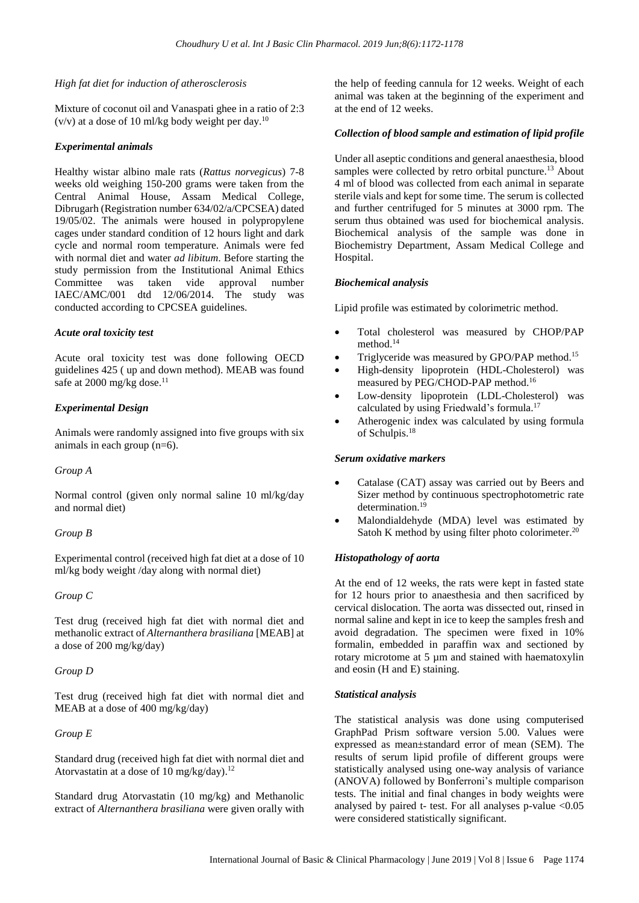#### *High fat diet for induction of atherosclerosis*

Mixture of coconut oil and Vanaspati ghee in a ratio of 2:3  $(v/v)$  at a dose of 10 ml/kg body weight per day.<sup>10</sup>

#### *Experimental animals*

Healthy wistar albino male rats (*Rattus norvegicus*) 7-8 weeks old weighing 150-200 grams were taken from the Central Animal House, Assam Medical College, Dibrugarh (Registration number 634/02/a/CPCSEA) dated 19/05/02. The animals were housed in polypropylene cages under standard condition of 12 hours light and dark cycle and normal room temperature. Animals were fed with normal diet and water *ad libitum*. Before starting the study permission from the Institutional Animal Ethics Committee was taken vide approval number IAEC/AMC/001 dtd 12/06/2014. The study was conducted according to CPCSEA guidelines.

#### *Acute oral toxicity test*

Acute oral toxicity test was done following OECD guidelines 425 ( up and down method). MEAB was found safe at 2000 mg/kg dose.<sup>11</sup>

## *Experimental Design*

Animals were randomly assigned into five groups with six animals in each group (n=6).

#### *Group A*

Normal control (given only normal saline 10 ml/kg/day and normal diet)

## *Group B*

Experimental control (received high fat diet at a dose of 10 ml/kg body weight /day along with normal diet)

#### *Group C*

Test drug (received high fat diet with normal diet and methanolic extract of *Alternanthera brasiliana* [MEAB] at a dose of 200 mg/kg/day)

## *Group D*

Test drug (received high fat diet with normal diet and MEAB at a dose of 400 mg/kg/day)

## *Group E*

Standard drug (received high fat diet with normal diet and Atorvastatin at a dose of 10 mg/kg/day).<sup>12</sup>

Standard drug Atorvastatin (10 mg/kg) and Methanolic extract of *Alternanthera brasiliana* were given orally with the help of feeding cannula for 12 weeks. Weight of each animal was taken at the beginning of the experiment and at the end of 12 weeks.

#### *Collection of blood sample and estimation of lipid profile*

Under all aseptic conditions and general anaesthesia, blood samples were collected by retro orbital puncture.<sup>13</sup> About 4 ml of blood was collected from each animal in separate sterile vials and kept for some time. The serum is collected and further centrifuged for 5 minutes at 3000 rpm. The serum thus obtained was used for biochemical analysis. Biochemical analysis of the sample was done in Biochemistry Department, Assam Medical College and Hospital.

#### *Biochemical analysis*

Lipid profile was estimated by colorimetric method.

- Total cholesterol was measured by CHOP/PAP method. 14
- Triglyceride was measured by GPO/PAP method.<sup>15</sup>
- High-density lipoprotein (HDL-Cholesterol) was measured by PEG/CHOD-PAP method. 16
- Low-density lipoprotein (LDL-Cholesterol) was calculated by using Friedwald's formula. 17
- Atherogenic index was calculated by using formula of Schulpis. 18

## *Serum oxidative markers*

- Catalase (CAT) assay was carried out by Beers and Sizer method by continuous spectrophotometric rate determination. 19
- Malondialdehyde (MDA) level was estimated by Satoh K method by using filter photo colorimeter.<sup>20</sup>

#### *Histopathology of aorta*

At the end of 12 weeks, the rats were kept in fasted state for 12 hours prior to anaesthesia and then sacrificed by cervical dislocation. The aorta was dissected out, rinsed in normal saline and kept in ice to keep the samples fresh and avoid degradation. The specimen were fixed in 10% formalin, embedded in paraffin wax and sectioned by rotary microtome at 5 µm and stained with haematoxylin and eosin (H and E) staining.

## *Statistical analysis*

The statistical analysis was done using computerised GraphPad Prism software version 5.00. Values were expressed as mean±standard error of mean (SEM). The results of serum lipid profile of different groups were statistically analysed using one-way analysis of variance (ANOVA) followed by Bonferroni's multiple comparison tests. The initial and final changes in body weights were analysed by paired t- test. For all analyses p-value  $< 0.05$ were considered statistically significant.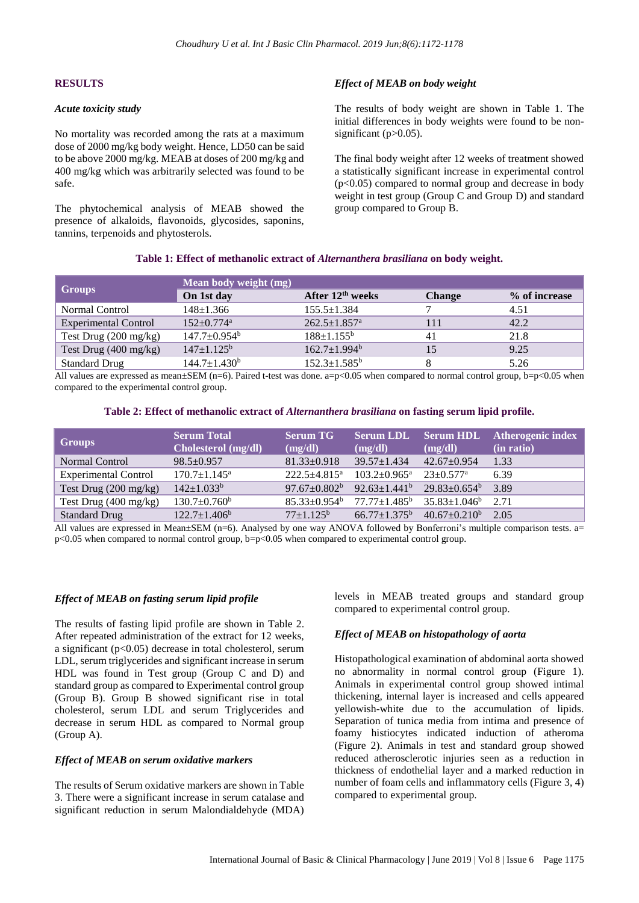#### **RESULTS**

#### *Acute toxicity study*

No mortality was recorded among the rats at a maximum dose of 2000 mg/kg body weight. Hence, LD50 can be said to be above 2000 mg/kg. MEAB at doses of 200 mg/kg and 400 mg/kg which was arbitrarily selected was found to be safe.

The phytochemical analysis of MEAB showed the presence of alkaloids, flavonoids, glycosides, saponins, tannins, terpenoids and phytosterols.

#### *Effect of MEAB on body weight*

The results of body weight are shown in Table 1. The initial differences in body weights were found to be nonsignificant (p>0.05).

The final body weight after 12 weeks of treatment showed a statistically significant increase in experimental control  $(p<0.05)$  compared to normal group and decrease in body weight in test group (Group C and Group D) and standard group compared to Group B.

| <b>Groups</b>                   | Mean body weight (mg)          |                                |               |               |  |
|---------------------------------|--------------------------------|--------------------------------|---------------|---------------|--|
|                                 | On 1st day                     | After $12th$ weeks             | <b>Change</b> | % of increase |  |
| Normal Control                  | $148 \pm 1.366$                | $155.5 \pm 1.384$              |               | 4.51          |  |
| <b>Experimental Control</b>     | $152+0.774^{\mathrm{a}}$       | $262.5 \pm 1.857$ <sup>a</sup> |               | 42.2          |  |
| Test Drug $(200 \text{ mg/kg})$ | $147.7 \pm 0.954$ <sup>b</sup> | $188 \pm 1.155^{\rm b}$        | 41            | 21.8          |  |
| Test Drug $(400 \text{ mg/kg})$ | $147 \pm 1.125^b$              | $162.7 \pm 1.994^b$            |               | 9.25          |  |
| <b>Standard Drug</b>            | $144.7 \pm 1.430^b$            | $152.3 \pm 1.585^b$            |               | 5.26          |  |
|                                 |                                |                                |               |               |  |

All values are expressed as mean $\pm$ SEM (n=6). Paired t-test was done. a=p<0.05 when compared to normal control group, b=p<0.05 when compared to the experimental control group.

#### **Table 2: Effect of methanolic extract of** *Alternanthera brasiliana* **on fasting serum lipid profile.**

| <b>Groups</b>                   | <b>Serum Total</b><br>Cholesterol (mg/dl) | <b>Serum TG</b><br>(mg/dl) | (mg/dl)                                 | (mg/dl)             | Serum LDL Serum HDL Atherogenic index<br>(in ratio) |
|---------------------------------|-------------------------------------------|----------------------------|-----------------------------------------|---------------------|-----------------------------------------------------|
| Normal Control                  | $98.5 \pm 0.957$                          | $81.33 \pm 0.918$          | $39.57 \pm 1.434$                       | $42.67 \pm 0.954$   | 1.33                                                |
| <b>Experimental Control</b>     | $170.7 \pm 1.145^{\text{a}}$              | $222.5 + 4.815^a$          | $103.2 \pm 0.965^{\text{a}}$            | $23+0.577^{\rm a}$  | 6.39                                                |
| Test Drug $(200 \text{ mg/kg})$ | $142 \pm 1.033^b$                         | $97.67 \pm 0.802^b$        | $92.63 \pm 1.441^b$ $29.83 \pm 0.654^b$ |                     | 3.89                                                |
| Test Drug $(400 \text{ mg/kg})$ | $130.7 \pm 0.760^{\mathrm{b}}$            | $85.33 \pm 0.954^b$        | $77.77{\pm}1.485^{\mathrm{b}}$          | $35.83 \pm 1.046^b$ | 2.71                                                |
| <b>Standard Drug</b>            | $122.7 \pm 1.406^b$                       | $77 \pm 1.125^{\rm b}$     | $66.77 \pm 1.375^b$                     | $40.67 \pm 0.210^b$ | 2.05                                                |

All values are expressed in Mean±SEM (n=6). Analysed by one way ANOVA followed by Bonferroni's multiple comparison tests. a= p<0.05 when compared to normal control group, b=p<0.05 when compared to experimental control group.

#### *Effect of MEAB on fasting serum lipid profile*

The results of fasting lipid profile are shown in Table 2. After repeated administration of the extract for 12 weeks, a significant  $(p<0.05)$  decrease in total cholesterol, serum LDL, serum triglycerides and significant increase in serum HDL was found in Test group (Group C and D) and standard group as compared to Experimental control group (Group B). Group B showed significant rise in total cholesterol, serum LDL and serum Triglycerides and decrease in serum HDL as compared to Normal group (Group A).

#### *Effect of MEAB on serum oxidative markers*

The results of Serum oxidative markers are shown in Table 3. There were a significant increase in serum catalase and significant reduction in serum Malondialdehyde (MDA)

levels in MEAB treated groups and standard group compared to experimental control group.

#### *Effect of MEAB on histopathology of aorta*

Histopathological examination of abdominal aorta showed no abnormality in normal control group (Figure 1). Animals in experimental control group showed intimal thickening, internal layer is increased and cells appeared yellowish-white due to the accumulation of lipids. Separation of tunica media from intima and presence of foamy histiocytes indicated induction of atheroma (Figure 2). Animals in test and standard group showed reduced atherosclerotic injuries seen as a reduction in thickness of endothelial layer and a marked reduction in number of foam cells and inflammatory cells (Figure 3, 4) compared to experimental group.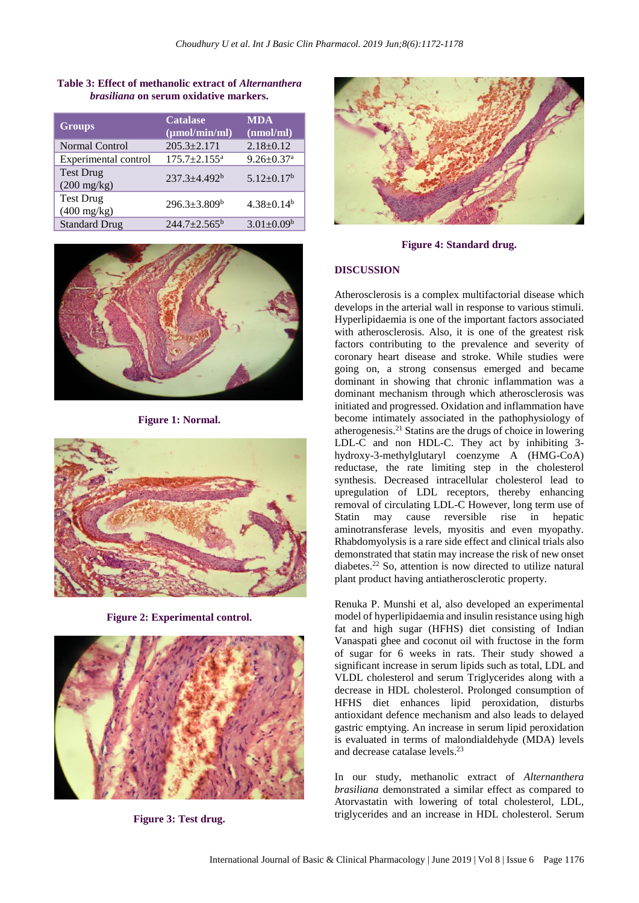| <b>Groups</b>                             | <b>Catalase</b><br>$(\mu mol/min/ml)$ | <b>MDA</b><br>(nmol/ml)      |
|-------------------------------------------|---------------------------------------|------------------------------|
| Normal Control                            | $205.3 + 2.171$                       | $2.18 \pm 0.12$              |
| Experimental control                      | $175.7 \pm 2.155$ <sup>a</sup>        | $9.26 \pm 0.37$ <sup>a</sup> |
| <b>Test Drug</b><br>$(200 \text{ mg/kg})$ | $237.3 \pm 4.492^b$                   | $5.12 \pm 0.17^b$            |
| <b>Test Drug</b><br>$(400 \text{ mg/kg})$ | $296.3 \pm 3.809^b$                   | $4.38 \pm 0.14^b$            |
| <b>Standard Drug</b>                      | $244.7+2.565^b$                       | $3.01 \pm 0.09^b$            |

**Table 3: Effect of methanolic extract of** *Alternanthera brasiliana* **on serum oxidative markers.**



**Figure 1: Normal.**



**Figure 2: Experimental control.**



**Figure 3: Test drug.**



**Figure 4: Standard drug.**

## **DISCUSSION**

Atherosclerosis is a complex multifactorial disease which develops in the arterial wall in response to various stimuli. Hyperlipidaemia is one of the important factors associated with atherosclerosis. Also, it is one of the greatest risk factors contributing to the prevalence and severity of coronary heart disease and stroke. While studies were going on, a strong consensus emerged and became dominant in showing that chronic inflammation was a dominant mechanism through which atherosclerosis was initiated and progressed. Oxidation and inflammation have become intimately associated in the pathophysiology of atherogenesis.<sup>21</sup> Statins are the drugs of choice in lowering LDL-C and non HDL-C. They act by inhibiting 3 hydroxy-3-methylglutaryl coenzyme A (HMG-CoA) reductase, the rate limiting step in the cholesterol synthesis. Decreased intracellular cholesterol lead to upregulation of LDL receptors, thereby enhancing removal of circulating LDL-C However, long term use of Statin may cause reversible rise in hepatic aminotransferase levels, myositis and even myopathy. Rhabdomyolysis is a rare side effect and clinical trials also demonstrated that statin may increase the risk of new onset diabetes. <sup>22</sup> So, attention is now directed to utilize natural plant product having antiatherosclerotic property.

Renuka P. Munshi et al, also developed an experimental model of hyperlipidaemia and insulin resistance using high fat and high sugar (HFHS) diet consisting of Indian Vanaspati ghee and coconut oil with fructose in the form of sugar for 6 weeks in rats. Their study showed a significant increase in serum lipids such as total, LDL and VLDL cholesterol and serum Triglycerides along with a decrease in HDL cholesterol. Prolonged consumption of HFHS diet enhances lipid peroxidation, disturbs antioxidant defence mechanism and also leads to delayed gastric emptying. An increase in serum lipid peroxidation is evaluated in terms of malondialdehyde (MDA) levels and decrease catalase levels. 23

In our study, methanolic extract of *Alternanthera brasiliana* demonstrated a similar effect as compared to Atorvastatin with lowering of total cholesterol, LDL, triglycerides and an increase in HDL cholesterol. Serum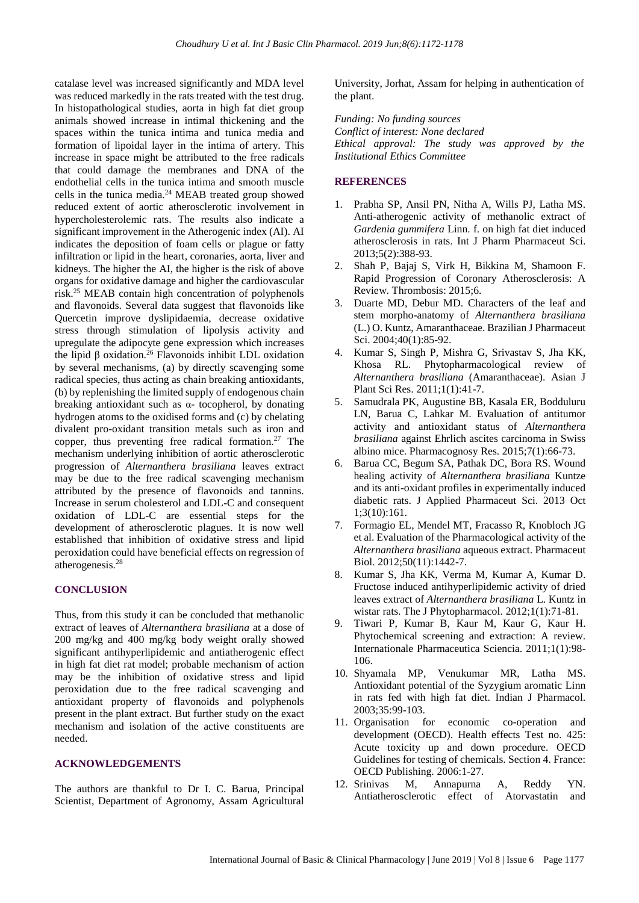catalase level was increased significantly and MDA level was reduced markedly in the rats treated with the test drug. In histopathological studies, aorta in high fat diet group animals showed increase in intimal thickening and the spaces within the tunica intima and tunica media and formation of lipoidal layer in the intima of artery. This increase in space might be attributed to the free radicals that could damage the membranes and DNA of the endothelial cells in the tunica intima and smooth muscle cells in the tunica media.<sup>24</sup> MEAB treated group showed reduced extent of aortic atherosclerotic involvement in hypercholesterolemic rats. The results also indicate a significant improvement in the Atherogenic index (AI). AI indicates the deposition of foam cells or plague or fatty infiltration or lipid in the heart, coronaries, aorta, liver and kidneys. The higher the AI, the higher is the risk of above organs for oxidative damage and higher the cardiovascular risk. <sup>25</sup> MEAB contain high concentration of polyphenols and flavonoids. Several data suggest that flavonoids like Quercetin improve dyslipidaemia, decrease oxidative stress through stimulation of lipolysis activity and upregulate the adipocyte gene expression which increases the lipid β oxidation.<sup>26</sup> Flavonoids inhibit LDL oxidation by several mechanisms, (a) by directly scavenging some radical species, thus acting as chain breaking antioxidants, (b) by replenishing the limited supply of endogenous chain breaking antioxidant such as  $\alpha$ - tocopherol, by donating hydrogen atoms to the oxidised forms and (c) by chelating divalent pro-oxidant transition metals such as iron and copper, thus preventing free radical formation. <sup>27</sup> The mechanism underlying inhibition of aortic atherosclerotic progression of *Alternanthera brasiliana* leaves extract may be due to the free radical scavenging mechanism attributed by the presence of flavonoids and tannins. Increase in serum cholesterol and LDL-C and consequent oxidation of LDL-C are essential steps for the development of atherosclerotic plagues. It is now well established that inhibition of oxidative stress and lipid peroxidation could have beneficial effects on regression of atherogenesis. 28

#### **CONCLUSION**

Thus, from this study it can be concluded that methanolic extract of leaves of *Alternanthera brasiliana* at a dose of 200 mg/kg and 400 mg/kg body weight orally showed significant antihyperlipidemic and antiatherogenic effect in high fat diet rat model; probable mechanism of action may be the inhibition of oxidative stress and lipid peroxidation due to the free radical scavenging and antioxidant property of flavonoids and polyphenols present in the plant extract. But further study on the exact mechanism and isolation of the active constituents are needed.

#### **ACKNOWLEDGEMENTS**

The authors are thankful to Dr I. C. Barua, Principal Scientist, Department of Agronomy, Assam Agricultural University, Jorhat, Assam for helping in authentication of the plant.

*Funding: No funding sources Conflict of interest: None declared Ethical approval: The study was approved by the Institutional Ethics Committee*

#### **REFERENCES**

- 1. Prabha SP, Ansil PN, Nitha A, Wills PJ, Latha MS. Anti-atherogenic activity of methanolic extract of *Gardenia gummifera* Linn. f. on high fat diet induced atherosclerosis in rats. Int J Pharm Pharmaceut Sci. 2013;5(2):388-93.
- 2. Shah P, Bajaj S, Virk H, Bikkina M, Shamoon F. Rapid Progression of Coronary Atherosclerosis: A Review. Thrombosis: 2015;6.
- 3. Duarte MD, Debur MD. Characters of the leaf and stem morpho-anatomy of *Alternanthera brasiliana* (L.) O. Kuntz, Amaranthaceae. Brazilian J Pharmaceut Sci. 2004;40(1):85-92.
- 4. Kumar S, Singh P, Mishra G, Srivastav S, Jha KK, Khosa RL. Phytopharmacological review of *Alternanthera brasiliana* (Amaranthaceae). Asian J Plant Sci Res. 2011;1(1):41-7.
- 5. Samudrala PK, Augustine BB, Kasala ER, Bodduluru LN, Barua C, Lahkar M. Evaluation of antitumor activity and antioxidant status of *Alternanthera brasiliana* against Ehrlich ascites carcinoma in Swiss albino mice. Pharmacognosy Res. 2015;7(1):66-73.
- 6. Barua CC, Begum SA, Pathak DC, Bora RS. Wound healing activity of *Alternanthera brasiliana* Kuntze and its anti-oxidant profiles in experimentally induced diabetic rats. J Applied Pharmaceut Sci. 2013 Oct 1;3(10):161.
- 7. Formagio EL, Mendel MT, Fracasso R, Knobloch JG et al. Evaluation of the Pharmacological activity of the *Alternanthera brasiliana* aqueous extract. Pharmaceut Biol. 2012;50(11):1442-7.
- 8. Kumar S, Jha KK, Verma M, Kumar A, Kumar D. Fructose induced antihyperlipidemic activity of dried leaves extract of *Alternanthera brasiliana* L. Kuntz in wistar rats. The J Phytopharmacol. 2012;1(1):71-81.
- 9. Tiwari P, Kumar B, Kaur M, Kaur G, Kaur H. Phytochemical screening and extraction: A review. Internationale Pharmaceutica Sciencia. 2011;1(1):98- 106.
- 10. Shyamala MP, Venukumar MR, Latha MS. Antioxidant potential of the Syzygium aromatic Linn in rats fed with high fat diet. Indian J Pharmacol. 2003;35:99-103.
- 11. Organisation for economic co-operation and development (OECD). Health effects Test no. 425: Acute toxicity up and down procedure. OECD Guidelines for testing of chemicals. Section 4. France: OECD Publishing. 2006:1-27.
- 12. Srinivas M, Annapurna A, Reddy YN. Antiatherosclerotic effect of Atorvastatin and